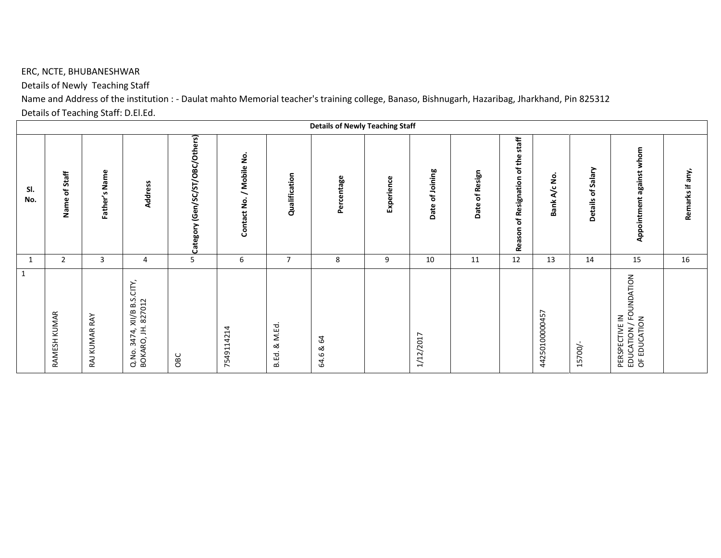## ERC, NCTE, BHUBANESHWAR

Details of Newly Teaching Staff

Name and Address of the institution : - Daulat mahto Memorial teacher's training college, Banaso, Bishnugarh, Hazaribag, Jharkhand, Pin 825312 Details of Teaching Staff: D.El.Ed.

|              |                    |               |                                                   |                                 |                             |                  | <b>Details of Newly Teaching Staff</b> |            |                      |                |                                                                 |                |                             |                                                          |                 |
|--------------|--------------------|---------------|---------------------------------------------------|---------------------------------|-----------------------------|------------------|----------------------------------------|------------|----------------------|----------------|-----------------------------------------------------------------|----------------|-----------------------------|----------------------------------------------------------|-----------------|
| SI.<br>No.   | Staff<br>đ<br>Name | Father's Name | <b>Address</b>                                    | Category (Gen/SC/ST/OBC/Others) | / Mobile No.<br>Contact No. | Qualification    | Percentage                             | Experience | Joining<br>৳<br>Date | Date of Resign | staff<br>of the<br>Resignation<br>$\overline{\sigma}$<br>Reason | Bank A/c No    | of Salary<br><b>Details</b> | against whom<br>Appointment                              | Remarks if any, |
|              | $\overline{2}$     | $\mathbf{3}$  | 4                                                 | $\overline{5}$                  | $\sqrt{6}$                  | $\overline{7}$   | 8                                      | 9          | 10                   | 11             | 12                                                              | 13             | 14                          | 15                                                       | $16\,$          |
| $\mathbf{1}$ | RAMESH KUMAR       | RAJ KUMAR RAY | Q.No. 3474, XII/B B.S.CITY,<br>BOKARO, JH. 827012 | OBC                             | 7549114214                  | & M.Ed.<br>B.Ed. | 64<br>ಹ<br>64.6                        |            | 1/12/2017            |                |                                                                 | 44250100000457 | 15700/                      | PERSPECTIVE IN<br>EDUCATION / FOUNDATION<br>OF EDUCATION |                 |